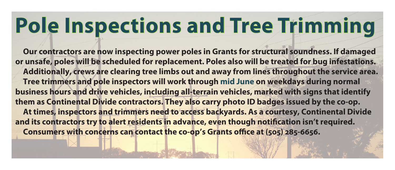## **Pole Inspections and Tree Trimming**

**Our contractors are now inspecting power poles in Grants for structural soundness. If damaged or unsafe, poles will be scheduled for replacement. Poles also will be treated for bug infestations. Additionally, crews are clearing tree limbs out and away from lines throughout the service area. Tree trimmers and pole inspectors will work through mid June on weekdays during normal business hours and drive vehicles, including all-terrain vehicles, marked with signs that identify them as Continental Divide contractors. They also carry photo ID badges issued by the co-0p. At times, inspectors and trimmers need to access backyards. As a courtesy, Continental Divide**  and its contractors try to alert residents in advance, even though notification isn't required. Consumers with concerns can contact the co-op's Grants office at (505) 285-6656.